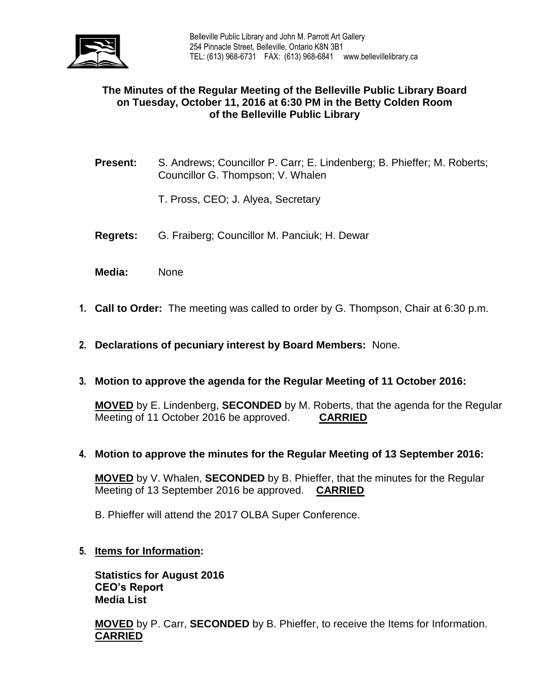

# **The Minutes of the Regular Meeting of the Belleville Public Library Board on Tuesday, October 11, 2016 at 6:30 PM in the Betty Colden Room of the Belleville Public Library**

- **Present:** S. Andrews; Councillor P. Carr; E. Lindenberg; B. Phieffer; M. Roberts; Councillor G. Thompson; V. Whalen
	- T. Pross, CEO; J. Alyea, Secretary
- **Regrets:** G. Fraiberg; Councillor M. Panciuk; H. Dewar
- **Media:** None
- **1. Call to Order:** The meeting was called to order by G. Thompson, Chair at 6:30 p.m.
- **2. Declarations of pecuniary interest by Board Members:** None.
- **3. Motion to approve the agenda for the Regular Meeting of 11 October 2016:**

**MOVED** by E. Lindenberg, **SECONDED** by M. Roberts, that the agenda for the Regular Meeting of 11 October 2016 be approved. **CARRIED**

**4. Motion to approve the minutes for the Regular Meeting of 13 September 2016:**

**MOVED** by V. Whalen, **SECONDED** by B. Phieffer, that the minutes for the Regular Meeting of 13 September 2016 be approved. **CARRIED**

- B. Phieffer will attend the 2017 OLBA Super Conference.
- **5. Items for Information:**

**Statistics for August 2016 CEO's Report Media List**

**MOVED** by P. Carr, **SECONDED** by B. Phieffer, to receive the Items for Information. **CARRIED**